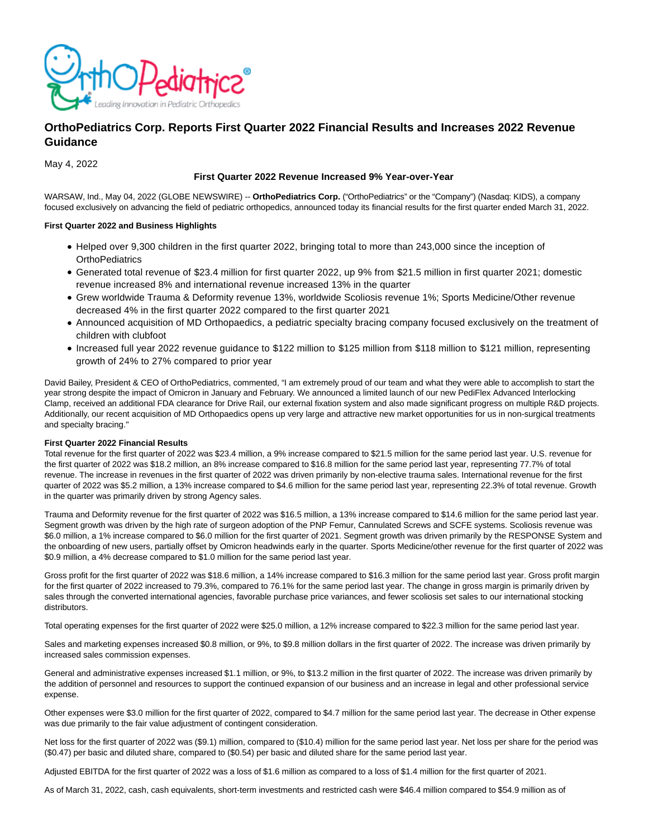

# **OrthoPediatrics Corp. Reports First Quarter 2022 Financial Results and Increases 2022 Revenue Guidance**

May 4, 2022

# **First Quarter 2022 Revenue Increased 9% Year-over-Year**

WARSAW, Ind., May 04, 2022 (GLOBE NEWSWIRE) -- **OrthoPediatrics Corp.** ("OrthoPediatrics" or the "Company") (Nasdaq: KIDS), a company focused exclusively on advancing the field of pediatric orthopedics, announced today its financial results for the first quarter ended March 31, 2022.

# **First Quarter 2022 and Business Highlights**

- Helped over 9,300 children in the first quarter 2022, bringing total to more than 243,000 since the inception of **OrthoPediatrics**
- Generated total revenue of \$23.4 million for first quarter 2022, up 9% from \$21.5 million in first quarter 2021; domestic revenue increased 8% and international revenue increased 13% in the quarter
- Grew worldwide Trauma & Deformity revenue 13%, worldwide Scoliosis revenue 1%; Sports Medicine/Other revenue decreased 4% in the first quarter 2022 compared to the first quarter 2021
- Announced acquisition of MD Orthopaedics, a pediatric specialty bracing company focused exclusively on the treatment of children with clubfoot
- Increased full year 2022 revenue guidance to \$122 million to \$125 million from \$118 million to \$121 million, representing growth of 24% to 27% compared to prior year

David Bailey, President & CEO of OrthoPediatrics, commented, "I am extremely proud of our team and what they were able to accomplish to start the year strong despite the impact of Omicron in January and February. We announced a limited launch of our new PediFlex Advanced Interlocking Clamp, received an additional FDA clearance for Drive Rail, our external fixation system and also made significant progress on multiple R&D projects. Additionally, our recent acquisition of MD Orthopaedics opens up very large and attractive new market opportunities for us in non-surgical treatments and specialty bracing."

# **First Quarter 2022 Financial Results**

Total revenue for the first quarter of 2022 was \$23.4 million, a 9% increase compared to \$21.5 million for the same period last year. U.S. revenue for the first quarter of 2022 was \$18.2 million, an 8% increase compared to \$16.8 million for the same period last year, representing 77.7% of total revenue. The increase in revenues in the first quarter of 2022 was driven primarily by non-elective trauma sales. International revenue for the first quarter of 2022 was \$5.2 million, a 13% increase compared to \$4.6 million for the same period last year, representing 22.3% of total revenue. Growth in the quarter was primarily driven by strong Agency sales.

Trauma and Deformity revenue for the first quarter of 2022 was \$16.5 million, a 13% increase compared to \$14.6 million for the same period last year. Segment growth was driven by the high rate of surgeon adoption of the PNP Femur, Cannulated Screws and SCFE systems. Scoliosis revenue was \$6.0 million, a 1% increase compared to \$6.0 million for the first quarter of 2021. Segment growth was driven primarily by the RESPONSE System and the onboarding of new users, partially offset by Omicron headwinds early in the quarter. Sports Medicine/other revenue for the first quarter of 2022 was \$0.9 million, a 4% decrease compared to \$1.0 million for the same period last year.

Gross profit for the first quarter of 2022 was \$18.6 million, a 14% increase compared to \$16.3 million for the same period last year. Gross profit margin for the first quarter of 2022 increased to 79.3%, compared to 76.1% for the same period last year. The change in gross margin is primarily driven by sales through the converted international agencies, favorable purchase price variances, and fewer scoliosis set sales to our international stocking distributors.

Total operating expenses for the first quarter of 2022 were \$25.0 million, a 12% increase compared to \$22.3 million for the same period last year.

Sales and marketing expenses increased \$0.8 million, or 9%, to \$9.8 million dollars in the first quarter of 2022. The increase was driven primarily by increased sales commission expenses.

General and administrative expenses increased \$1.1 million, or 9%, to \$13.2 million in the first quarter of 2022. The increase was driven primarily by the addition of personnel and resources to support the continued expansion of our business and an increase in legal and other professional service expense.

Other expenses were \$3.0 million for the first quarter of 2022, compared to \$4.7 million for the same period last year. The decrease in Other expense was due primarily to the fair value adjustment of contingent consideration.

Net loss for the first quarter of 2022 was (\$9.1) million, compared to (\$10.4) million for the same period last year. Net loss per share for the period was (\$0.47) per basic and diluted share, compared to (\$0.54) per basic and diluted share for the same period last year.

Adjusted EBITDA for the first quarter of 2022 was a loss of \$1.6 million as compared to a loss of \$1.4 million for the first quarter of 2021.

As of March 31, 2022, cash, cash equivalents, short-term investments and restricted cash were \$46.4 million compared to \$54.9 million as of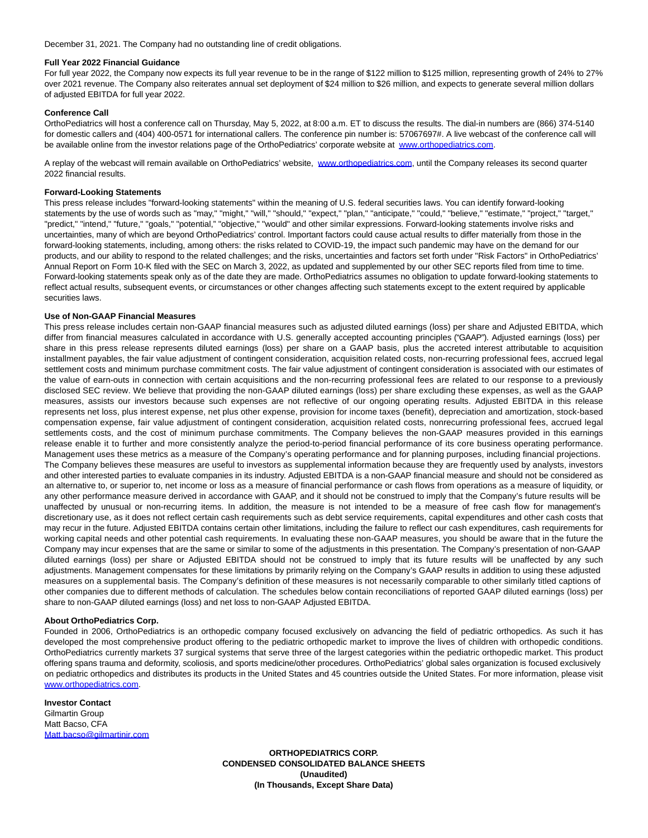December 31, 2021. The Company had no outstanding line of credit obligations.

#### **Full Year 2022 Financial Guidance**

For full year 2022, the Company now expects its full year revenue to be in the range of \$122 million to \$125 million, representing growth of 24% to 27% over 2021 revenue. The Company also reiterates annual set deployment of \$24 million to \$26 million, and expects to generate several million dollars of adjusted EBITDA for full year 2022.

# **Conference Call**

OrthoPediatrics will host a conference call on Thursday, May 5, 2022, at 8:00 a.m. ET to discuss the results. The dial-in numbers are (866) 374-5140 for domestic callers and (404) 400-0571 for international callers. The conference pin number is: 57067697#. A live webcast of the conference call will be available online from the investor relations page of the OrthoPediatrics' corporate website at [www.orthopediatrics.com.](http://www.orthopediatrics.com/)

A replay of the webcast will remain available on OrthoPediatrics' website, [www.orthopediatrics.com,](http://www.orthopediatrics.com/) until the Company releases its second quarter 2022 financial results.

#### **Forward-Looking Statements**

This press release includes "forward-looking statements" within the meaning of U.S. federal securities laws. You can identify forward-looking statements by the use of words such as "may," "might," "will," "should," "expect," "plan," "anticipate," "could," "believe," "estimate," "project," "target," "predict," "intend," "future," "goals," "potential," "objective," "would" and other similar expressions. Forward-looking statements involve risks and uncertainties, many of which are beyond OrthoPediatrics' control. Important factors could cause actual results to differ materially from those in the forward-looking statements, including, among others: the risks related to COVID-19, the impact such pandemic may have on the demand for our products, and our ability to respond to the related challenges; and the risks, uncertainties and factors set forth under "Risk Factors" in OrthoPediatrics' Annual Report on Form 10-K filed with the SEC on March 3, 2022, as updated and supplemented by our other SEC reports filed from time to time. Forward-looking statements speak only as of the date they are made. OrthoPediatrics assumes no obligation to update forward-looking statements to reflect actual results, subsequent events, or circumstances or other changes affecting such statements except to the extent required by applicable securities laws.

#### **Use of Non-GAAP Financial Measures**

This press release includes certain non-GAAP financial measures such as adjusted diluted earnings (loss) per share and Adjusted EBITDA, which differ from financial measures calculated in accordance with U.S. generally accepted accounting principles ("GAAP"). Adjusted earnings (loss) per share in this press release represents diluted earnings (loss) per share on a GAAP basis, plus the accreted interest attributable to acquisition installment payables, the fair value adjustment of contingent consideration, acquisition related costs, non-recurring professional fees, accrued legal settlement costs and minimum purchase commitment costs. The fair value adjustment of contingent consideration is associated with our estimates of the value of earn-outs in connection with certain acquisitions and the non-recurring professional fees are related to our response to a previously disclosed SEC review. We believe that providing the non-GAAP diluted earnings (loss) per share excluding these expenses, as well as the GAAP measures, assists our investors because such expenses are not reflective of our ongoing operating results. Adjusted EBITDA in this release represents net loss, plus interest expense, net plus other expense, provision for income taxes (benefit), depreciation and amortization, stock-based compensation expense, fair value adjustment of contingent consideration, acquisition related costs, nonrecurring professional fees, accrued legal settlements costs, and the cost of minimum purchase commitments. The Company believes the non-GAAP measures provided in this earnings release enable it to further and more consistently analyze the period-to-period financial performance of its core business operating performance. Management uses these metrics as a measure of the Company's operating performance and for planning purposes, including financial projections. The Company believes these measures are useful to investors as supplemental information because they are frequently used by analysts, investors and other interested parties to evaluate companies in its industry. Adjusted EBITDA is a non-GAAP financial measure and should not be considered as an alternative to, or superior to, net income or loss as a measure of financial performance or cash flows from operations as a measure of liquidity, or any other performance measure derived in accordance with GAAP, and it should not be construed to imply that the Company's future results will be unaffected by unusual or non-recurring items. In addition, the measure is not intended to be a measure of free cash flow for management's discretionary use, as it does not reflect certain cash requirements such as debt service requirements, capital expenditures and other cash costs that may recur in the future. Adjusted EBITDA contains certain other limitations, including the failure to reflect our cash expenditures, cash requirements for working capital needs and other potential cash requirements. In evaluating these non-GAAP measures, you should be aware that in the future the Company may incur expenses that are the same or similar to some of the adjustments in this presentation. The Company's presentation of non-GAAP diluted earnings (loss) per share or Adjusted EBITDA should not be construed to imply that its future results will be unaffected by any such adjustments. Management compensates for these limitations by primarily relying on the Company's GAAP results in addition to using these adjusted measures on a supplemental basis. The Company's definition of these measures is not necessarily comparable to other similarly titled captions of other companies due to different methods of calculation. The schedules below contain reconciliations of reported GAAP diluted earnings (loss) per share to non-GAAP diluted earnings (loss) and net loss to non-GAAP Adjusted EBITDA.

# **About OrthoPediatrics Corp.**

Founded in 2006, OrthoPediatrics is an orthopedic company focused exclusively on advancing the field of pediatric orthopedics. As such it has developed the most comprehensive product offering to the pediatric orthopedic market to improve the lives of children with orthopedic conditions. OrthoPediatrics currently markets 37 surgical systems that serve three of the largest categories within the pediatric orthopedic market. This product offering spans trauma and deformity, scoliosis, and sports medicine/other procedures. OrthoPediatrics' global sales organization is focused exclusively on pediatric orthopedics and distributes its products in the United States and 45 countries outside the United States. For more information, please visit [www.orthopediatrics.com.](http://www.orthopediatrics.com/)

#### **Investor Contact** Gilmartin Group Matt Bacso, CFA [Matt.bacso@gilmartinir.com](mailto:Matt.bacso@gilmartinir.com)

**ORTHOPEDIATRICS CORP. CONDENSED CONSOLIDATED BALANCE SHEETS (Unaudited) (In Thousands, Except Share Data)**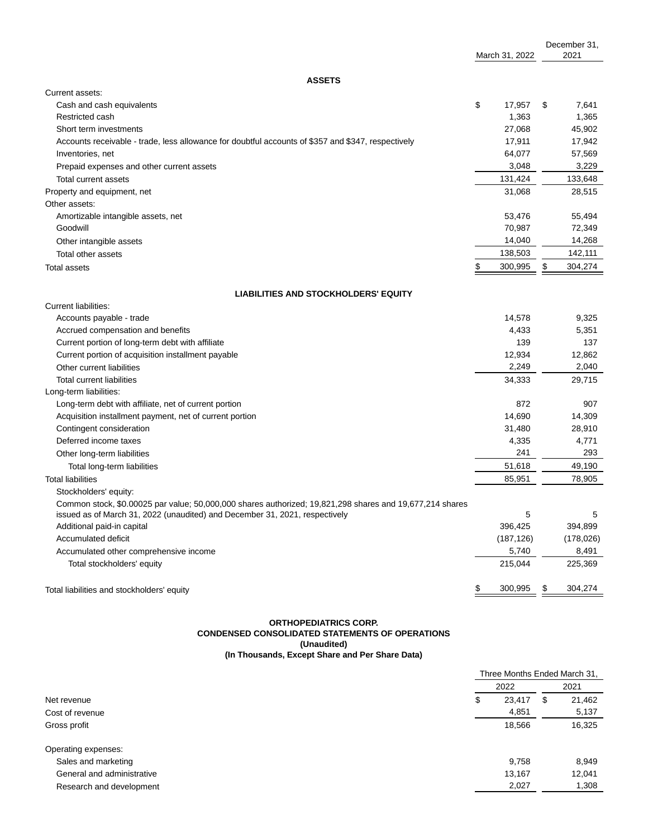|                                                                                                                                                                                         |    |                |               | December 31, |
|-----------------------------------------------------------------------------------------------------------------------------------------------------------------------------------------|----|----------------|---------------|--------------|
|                                                                                                                                                                                         |    | March 31, 2022 |               | 2021         |
| <b>ASSETS</b>                                                                                                                                                                           |    |                |               |              |
| Current assets:                                                                                                                                                                         |    |                |               |              |
| Cash and cash equivalents                                                                                                                                                               | \$ | 17,957         | \$            | 7,641        |
| Restricted cash                                                                                                                                                                         |    | 1,363          |               | 1,365        |
| Short term investments                                                                                                                                                                  |    | 27,068         |               | 45,902       |
| Accounts receivable - trade, less allowance for doubtful accounts of \$357 and \$347, respectively                                                                                      |    | 17,911         |               | 17,942       |
| Inventories, net                                                                                                                                                                        |    | 64,077         |               | 57,569       |
| Prepaid expenses and other current assets                                                                                                                                               |    | 3,048          |               | 3,229        |
| Total current assets                                                                                                                                                                    |    | 131,424        |               | 133,648      |
| Property and equipment, net                                                                                                                                                             |    | 31,068         |               | 28,515       |
| Other assets:                                                                                                                                                                           |    |                |               |              |
| Amortizable intangible assets, net                                                                                                                                                      |    | 53,476         |               | 55,494       |
| Goodwill                                                                                                                                                                                |    | 70,987         |               | 72,349       |
| Other intangible assets                                                                                                                                                                 |    | 14,040         |               | 14,268       |
| Total other assets                                                                                                                                                                      |    | 138,503        |               | 142,111      |
| <b>Total assets</b>                                                                                                                                                                     | \$ | 300,995        | \$            | 304,274      |
| <b>LIABILITIES AND STOCKHOLDERS' EQUITY</b>                                                                                                                                             |    |                |               |              |
| Current liabilities:                                                                                                                                                                    |    |                |               |              |
| Accounts payable - trade                                                                                                                                                                |    | 14,578         |               | 9,325        |
| Accrued compensation and benefits                                                                                                                                                       |    | 4,433          |               | 5,351        |
| Current portion of long-term debt with affiliate                                                                                                                                        |    | 139            |               | 137          |
| Current portion of acquisition installment payable                                                                                                                                      |    | 12,934         |               | 12,862       |
| Other current liabilities                                                                                                                                                               |    | 2,249          |               | 2,040        |
| <b>Total current liabilities</b>                                                                                                                                                        |    | 34,333         |               | 29,715       |
| Long-term liabilities:                                                                                                                                                                  |    |                |               |              |
| Long-term debt with affiliate, net of current portion                                                                                                                                   |    | 872            |               | 907          |
| Acquisition installment payment, net of current portion                                                                                                                                 |    | 14,690         |               | 14,309       |
| Contingent consideration                                                                                                                                                                |    | 31,480         |               | 28,910       |
| Deferred income taxes                                                                                                                                                                   |    | 4,335          |               | 4,771        |
| Other long-term liabilities                                                                                                                                                             |    | 241            |               | 293          |
| Total long-term liabilities                                                                                                                                                             |    | 51,618         |               | 49,190       |
| <b>Total liabilities</b>                                                                                                                                                                |    | 85,951         |               | 78,905       |
| Stockholders' equity:                                                                                                                                                                   |    |                |               |              |
| Common stock, \$0.00025 par value; 50,000,000 shares authorized; 19,821,298 shares and 19,677,214 shares<br>issued as of March 31, 2022 (unaudited) and December 31, 2021, respectively |    | 5              |               | 5            |
| Additional paid-in capital                                                                                                                                                              |    | 396,425        |               | 394,899      |
| Accumulated deficit                                                                                                                                                                     |    | (187, 126)     |               | (178,026)    |
| Accumulated other comprehensive income                                                                                                                                                  |    | 5,740          |               | 8,491        |
| Total stockholders' equity                                                                                                                                                              |    | 215,044        |               | 225,369      |
| Total liabilities and stockholders' equity                                                                                                                                              | \$ | 300,995        | $\frac{3}{2}$ | 304,274      |

#### **ORTHOPEDIATRICS CORP. CONDENSED CONSOLIDATED STATEMENTS OF OPERATIONS (Unaudited) (In Thousands, Except Share and Per Share Data)**

|                            | Three Months Ended March 31, |        |   |        |
|----------------------------|------------------------------|--------|---|--------|
|                            |                              | 2022   |   | 2021   |
| Net revenue                | \$                           | 23,417 | S | 21,462 |
| Cost of revenue            |                              | 4,851  |   | 5,137  |
| Gross profit               |                              | 18,566 |   | 16,325 |
| Operating expenses:        |                              |        |   |        |
| Sales and marketing        |                              | 9,758  |   | 8,949  |
| General and administrative |                              | 13,167 |   | 12,041 |
| Research and development   |                              | 2,027  |   | 1,308  |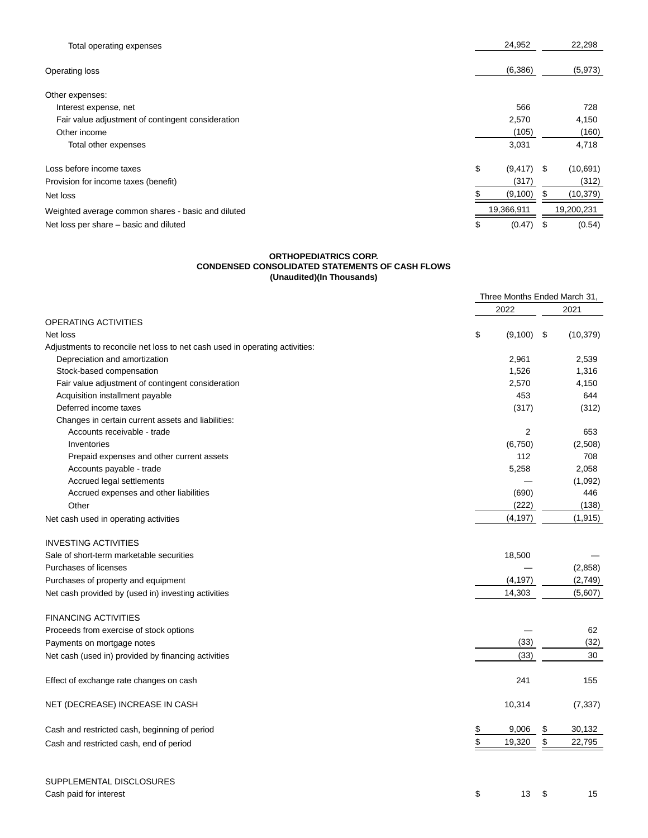| Total operating expenses                           | 24,952         |      | 22,298     |
|----------------------------------------------------|----------------|------|------------|
| Operating loss                                     | (6,386)        |      | (5,973)    |
| Other expenses:                                    |                |      |            |
| Interest expense, net                              | 566            |      | 728        |
| Fair value adjustment of contingent consideration  | 2,570          |      | 4,150      |
| Other income                                       | (105)          |      | (160)      |
| Total other expenses                               | 3,031          |      | 4,718      |
| Loss before income taxes                           | \$<br>(9, 417) | - \$ | (10,691)   |
| Provision for income taxes (benefit)               | (317)          |      | (312)      |
| Net loss                                           | (9,100)        |      | (10, 379)  |
| Weighted average common shares - basic and diluted | 19,366,911     |      | 19,200,231 |
| Net loss per share – basic and diluted             | \$<br>(0.47)   | - \$ | (0.54)     |

#### **ORTHOPEDIATRICS CORP. CONDENSED CONSOLIDATED STATEMENTS OF CASH FLOWS (Unaudited)(In Thousands)**

|                                                                             | Three Months Ended March 31, |           |
|-----------------------------------------------------------------------------|------------------------------|-----------|
|                                                                             | 2022                         | 2021      |
| OPERATING ACTIVITIES                                                        |                              |           |
| Net loss                                                                    | \$<br>(9,100)<br>\$          | (10, 379) |
| Adjustments to reconcile net loss to net cash used in operating activities: |                              |           |
| Depreciation and amortization                                               | 2,961                        | 2,539     |
| Stock-based compensation                                                    | 1,526                        | 1,316     |
| Fair value adjustment of contingent consideration                           | 2,570                        | 4,150     |
| Acquisition installment payable                                             | 453                          | 644       |
| Deferred income taxes                                                       | (317)                        | (312)     |
| Changes in certain current assets and liabilities:                          |                              |           |
| Accounts receivable - trade                                                 | $\overline{2}$               | 653       |
| Inventories                                                                 | (6, 750)                     | (2,508)   |
| Prepaid expenses and other current assets                                   | 112                          | 708       |
| Accounts payable - trade                                                    | 5,258                        | 2,058     |
| Accrued legal settlements                                                   |                              | (1,092)   |
| Accrued expenses and other liabilities                                      | (690)                        | 446       |
| Other                                                                       | (222)                        | (138)     |
| Net cash used in operating activities                                       | (4, 197)                     | (1, 915)  |
| <b>INVESTING ACTIVITIES</b>                                                 |                              |           |
| Sale of short-term marketable securities                                    | 18,500                       |           |
| Purchases of licenses                                                       |                              | (2,858)   |
| Purchases of property and equipment                                         | (4, 197)                     | (2,749)   |
| Net cash provided by (used in) investing activities                         | 14,303                       | (5,607)   |
| <b>FINANCING ACTIVITIES</b>                                                 |                              |           |
| Proceeds from exercise of stock options                                     |                              | 62        |
| Payments on mortgage notes                                                  | (33)                         | (32)      |
| Net cash (used in) provided by financing activities                         | (33)                         | 30        |
| Effect of exchange rate changes on cash                                     | 241                          | 155       |
| NET (DECREASE) INCREASE IN CASH                                             | 10,314                       | (7, 337)  |
| Cash and restricted cash, beginning of period                               | \$<br>9,006<br>\$            | 30,132    |
| Cash and restricted cash, end of period                                     | \$<br>\$<br>19,320           | 22,795    |
|                                                                             |                              |           |

| SUPPLEMENTAL DISCLOSURES |                                                                                                                                                                                                                                                                                                                                                                                                                                                                                                                                       |  |      |
|--------------------------|---------------------------------------------------------------------------------------------------------------------------------------------------------------------------------------------------------------------------------------------------------------------------------------------------------------------------------------------------------------------------------------------------------------------------------------------------------------------------------------------------------------------------------------|--|------|
| Cash paid for interest   | $\textcolor{red}{\textbf{\$}}\textcolor{red}{\textbf{\$}}\textcolor{red}{\textbf{\$}}\textcolor{red}{\textbf{\$}}\textcolor{red}{\textbf{\$}}\textcolor{red}{\textbf{\$}}\textcolor{red}{\textbf{\$}}\textcolor{red}{\textbf{\$}}\textcolor{red}{\textbf{\$}}\textcolor{red}{\textbf{\$}}\textcolor{red}{\textbf{\$}}\textcolor{red}{\textbf{\$}}\textcolor{red}{\textbf{\$}}\textcolor{red}{\textbf{\$}}\textcolor{red}{\textbf{\$}}\textcolor{red}{\textbf{\$}}\textcolor{red}{\textbf{\$}}\textcolor{red}{\textbf{\$}}\textcolor{$ |  | - 15 |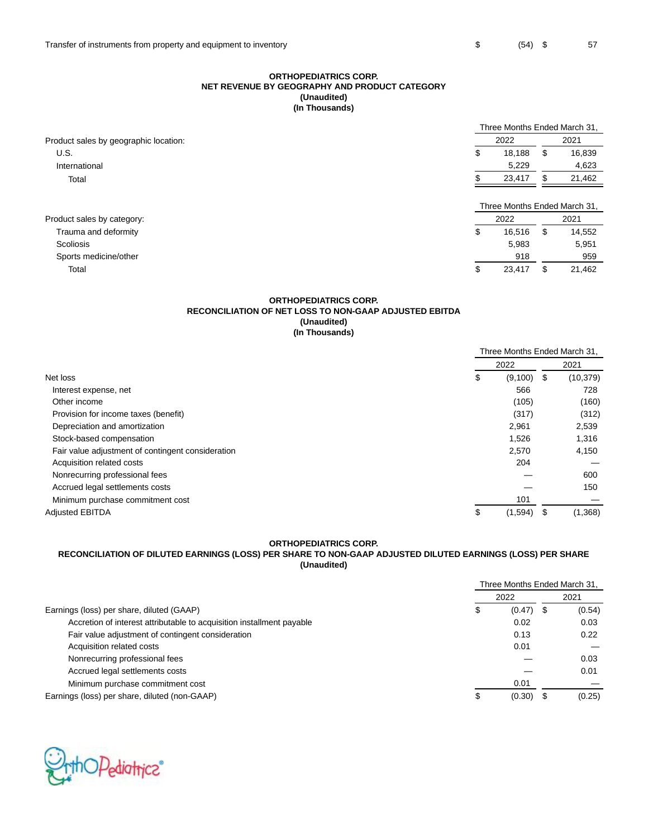# **ORTHOPEDIATRICS CORP. NET REVENUE BY GEOGRAPHY AND PRODUCT CATEGORY (Unaudited) (In Thousands)**

|                                       |              | Three Months Ended March 31,         |        |  |  |  |
|---------------------------------------|--------------|--------------------------------------|--------|--|--|--|
| Product sales by geographic location: | 2022         | 2021                                 |        |  |  |  |
| U.S.                                  | 18.188<br>\$ | S                                    | 16,839 |  |  |  |
| International                         | 5,229        |                                      | 4,623  |  |  |  |
| Total                                 | 23,417       |                                      | 21,462 |  |  |  |
| Product sales by category:            | 2022         | Three Months Ended March 31.<br>2021 |        |  |  |  |
| Trauma and deformity                  | \$<br>16.516 | S                                    | 14,552 |  |  |  |
| Scoliosis                             | 5.983        |                                      | 5,951  |  |  |  |
| Sports medicine/other                 | 918          |                                      | 959    |  |  |  |
| Total                                 | 23,417<br>\$ |                                      | 21,462 |  |  |  |

# **ORTHOPEDIATRICS CORP. RECONCILIATION OF NET LOSS TO NON-GAAP ADJUSTED EBITDA (Unaudited) (In Thousands)**

|                                                   | Three Months Ended March 31, |    |           |
|---------------------------------------------------|------------------------------|----|-----------|
|                                                   | 2022                         |    | 2021      |
| Net loss                                          | \$<br>$(9,100)$ \$           |    | (10, 379) |
| Interest expense, net                             | 566                          |    | 728       |
| Other income                                      | (105)                        |    | (160)     |
| Provision for income taxes (benefit)              | (317)                        |    | (312)     |
| Depreciation and amortization                     | 2,961                        |    | 2,539     |
| Stock-based compensation                          | 1,526                        |    | 1,316     |
| Fair value adjustment of contingent consideration | 2,570                        |    | 4,150     |
| Acquisition related costs                         | 204                          |    |           |
| Nonrecurring professional fees                    |                              |    | 600       |
| Accrued legal settlements costs                   |                              |    | 150       |
| Minimum purchase commitment cost                  | 101                          |    |           |
| <b>Adjusted EBITDA</b>                            | \$<br>(1,594)                | -5 | (1,368)   |

# **ORTHOPEDIATRICS CORP.**

# **RECONCILIATION OF DILUTED EARNINGS (LOSS) PER SHARE TO NON-GAAP ADJUSTED DILUTED EARNINGS (LOSS) PER SHARE (Unaudited)**

|                                                                       | Three Months Ended March 31, |        |  |        |
|-----------------------------------------------------------------------|------------------------------|--------|--|--------|
|                                                                       |                              | 2022   |  | 2021   |
| Earnings (loss) per share, diluted (GAAP)                             | \$                           | (0.47) |  | (0.54) |
| Accretion of interest attributable to acquisition installment payable |                              | 0.02   |  | 0.03   |
| Fair value adjustment of contingent consideration                     |                              | 0.13   |  | 0.22   |
| Acquisition related costs                                             |                              | 0.01   |  |        |
| Nonrecurring professional fees                                        |                              |        |  | 0.03   |
| Accrued legal settlements costs                                       |                              |        |  | 0.01   |
| Minimum purchase commitment cost                                      |                              | 0.01   |  |        |
| Earnings (loss) per share, diluted (non-GAAP)                         | \$                           | (0.30) |  | (0.25) |